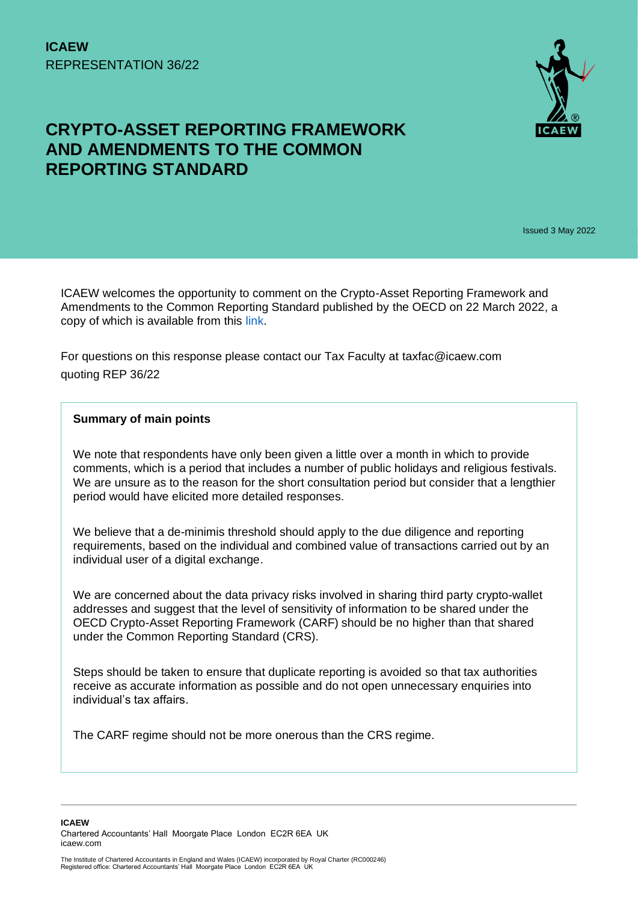

# **CRYPTO-ASSET REPORTING FRAMEWORK AND AMENDMENTS TO THE COMMON REPORTING STANDARD**

Issued 3 May 2022

ICAEW welcomes the opportunity to comment on the Crypto-Asset Reporting Framework and Amendments to the Common Reporting Standard published by the OECD on 22 March 2022, a copy of which is available from this [link.](https://www.oecd.org/tax/exchange-of-tax-information/public-consultation-document-crypto-asset-reporting-framework-and-amendments-to-the-common-reporting-standard.pdf)

For questions on this response please contact our Tax Faculty at taxfac@icaew.com quoting REP 36/22

#### **Summary of main points**

We note that respondents have only been given a little over a month in which to provide comments, which is a period that includes a number of public holidays and religious festivals. We are unsure as to the reason for the short consultation period but consider that a lengthier period would have elicited more detailed responses.

We believe that a de-minimis threshold should apply to the due diligence and reporting requirements, based on the individual and combined value of transactions carried out by an individual user of a digital exchange.

We are concerned about the data privacy risks involved in sharing third party crypto-wallet addresses and suggest that the level of sensitivity of information to be shared under the OECD Crypto-Asset Reporting Framework (CARF) should be no higher than that shared under the Common Reporting Standard (CRS).

Steps should be taken to ensure that duplicate reporting is avoided so that tax authorities receive as accurate information as possible and do not open unnecessary enquiries into individual's tax affairs.

The CARF regime should not be more onerous than the CRS regime.

**ICAEW**  Chartered Accountants' Hall Moorgate Place London EC2R 6EA UK icaew.com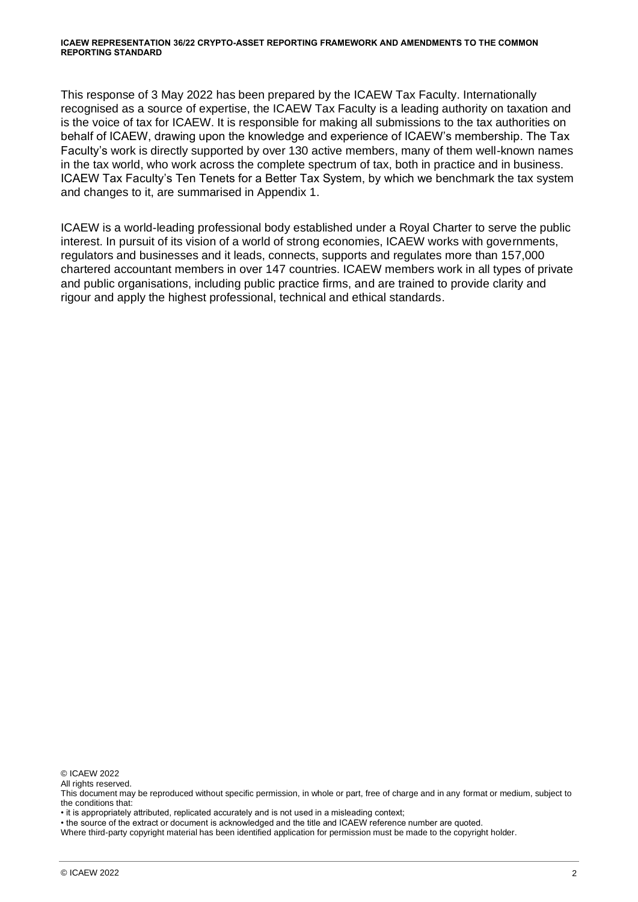#### **ICAEW REPRESENTATION 36/22 CRYPTO-ASSET REPORTING FRAMEWORK AND AMENDMENTS TO THE COMMON REPORTING STANDARD**

This response of 3 May 2022 has been prepared by the ICAEW Tax Faculty. Internationally recognised as a source of expertise, the ICAEW Tax Faculty is a leading authority on taxation and is the voice of tax for ICAEW. It is responsible for making all submissions to the tax authorities on behalf of ICAEW, drawing upon the knowledge and experience of ICAEW's membership. The Tax Faculty's work is directly supported by over 130 active members, many of them well-known names in the tax world, who work across the complete spectrum of tax, both in practice and in business. ICAEW Tax Faculty's Ten Tenets for a Better Tax System, by which we benchmark the tax system and changes to it, are summarised in Appendix 1.

ICAEW is a world-leading professional body established under a Royal Charter to serve the public interest. In pursuit of its vision of a world of strong economies, ICAEW works with governments, regulators and businesses and it leads, connects, supports and regulates more than 157,000 chartered accountant members in over 147 countries. ICAEW members work in all types of private and public organisations, including public practice firms, and are trained to provide clarity and rigour and apply the highest professional, technical and ethical standards.

© ICAEW 2022

All rights reserved.

Where third-party copyright material has been identified application for permission must be made to the copyright holder.

This document may be reproduced without specific permission, in whole or part, free of charge and in any format or medium, subject to the conditions that:

<sup>•</sup> it is appropriately attributed, replicated accurately and is not used in a misleading context;

<sup>•</sup> the source of the extract or document is acknowledged and the title and ICAEW reference number are quoted.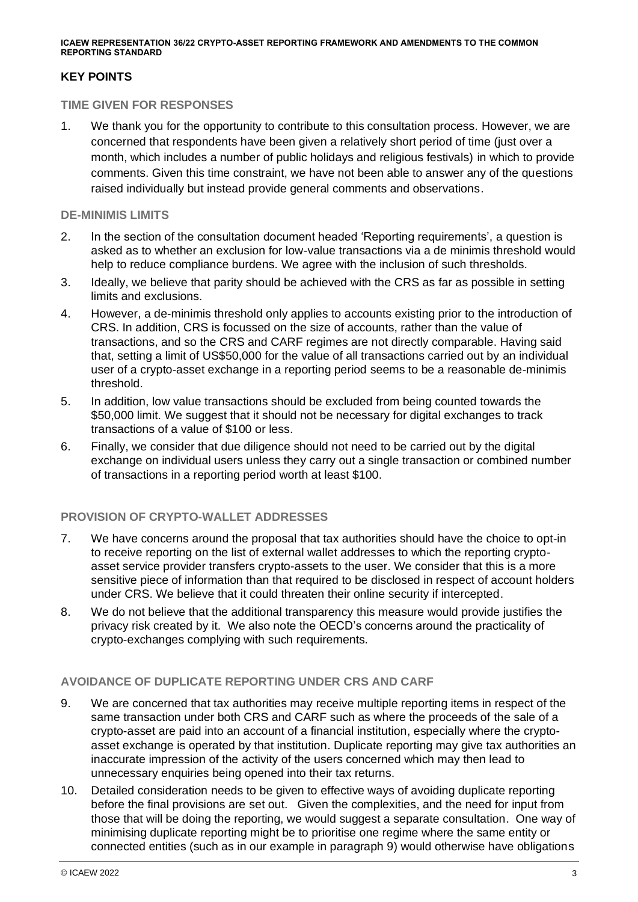**ICAEW REPRESENTATION 36/22 CRYPTO-ASSET REPORTING FRAMEWORK AND AMENDMENTS TO THE COMMON REPORTING STANDARD**

# **KEY POINTS**

#### **TIME GIVEN FOR RESPONSES**

1. We thank you for the opportunity to contribute to this consultation process. However, we are concerned that respondents have been given a relatively short period of time (just over a month, which includes a number of public holidays and religious festivals) in which to provide comments. Given this time constraint, we have not been able to answer any of the questions raised individually but instead provide general comments and observations.

#### **DE-MINIMIS LIMITS**

- 2. In the section of the consultation document headed 'Reporting requirements', a question is asked as to whether an exclusion for low-value transactions via a de minimis threshold would help to reduce compliance burdens. We agree with the inclusion of such thresholds.
- 3. Ideally, we believe that parity should be achieved with the CRS as far as possible in setting limits and exclusions.
- 4. However, a de-minimis threshold only applies to accounts existing prior to the introduction of CRS. In addition, CRS is focussed on the size of accounts, rather than the value of transactions, and so the CRS and CARF regimes are not directly comparable. Having said that, setting a limit of US\$50,000 for the value of all transactions carried out by an individual user of a crypto-asset exchange in a reporting period seems to be a reasonable de-minimis threshold.
- 5. In addition, low value transactions should be excluded from being counted towards the \$50,000 limit. We suggest that it should not be necessary for digital exchanges to track transactions of a value of \$100 or less.
- 6. Finally, we consider that due diligence should not need to be carried out by the digital exchange on individual users unless they carry out a single transaction or combined number of transactions in a reporting period worth at least \$100.

# **PROVISION OF CRYPTO-WALLET ADDRESSES**

- 7. We have concerns around the proposal that tax authorities should have the choice to opt-in to receive reporting on the list of external wallet addresses to which the reporting cryptoasset service provider transfers crypto-assets to the user. We consider that this is a more sensitive piece of information than that required to be disclosed in respect of account holders under CRS. We believe that it could threaten their online security if intercepted.
- 8. We do not believe that the additional transparency this measure would provide justifies the privacy risk created by it. We also note the OECD's concerns around the practicality of crypto-exchanges complying with such requirements.

### **AVOIDANCE OF DUPLICATE REPORTING UNDER CRS AND CARF**

- 9. We are concerned that tax authorities may receive multiple reporting items in respect of the same transaction under both CRS and CARF such as where the proceeds of the sale of a crypto-asset are paid into an account of a financial institution, especially where the cryptoasset exchange is operated by that institution. Duplicate reporting may give tax authorities an inaccurate impression of the activity of the users concerned which may then lead to unnecessary enquiries being opened into their tax returns.
- 10. Detailed consideration needs to be given to effective ways of avoiding duplicate reporting before the final provisions are set out. Given the complexities, and the need for input from those that will be doing the reporting, we would suggest a separate consultation. One way of minimising duplicate reporting might be to prioritise one regime where the same entity or connected entities (such as in our example in paragraph 9) would otherwise have obligations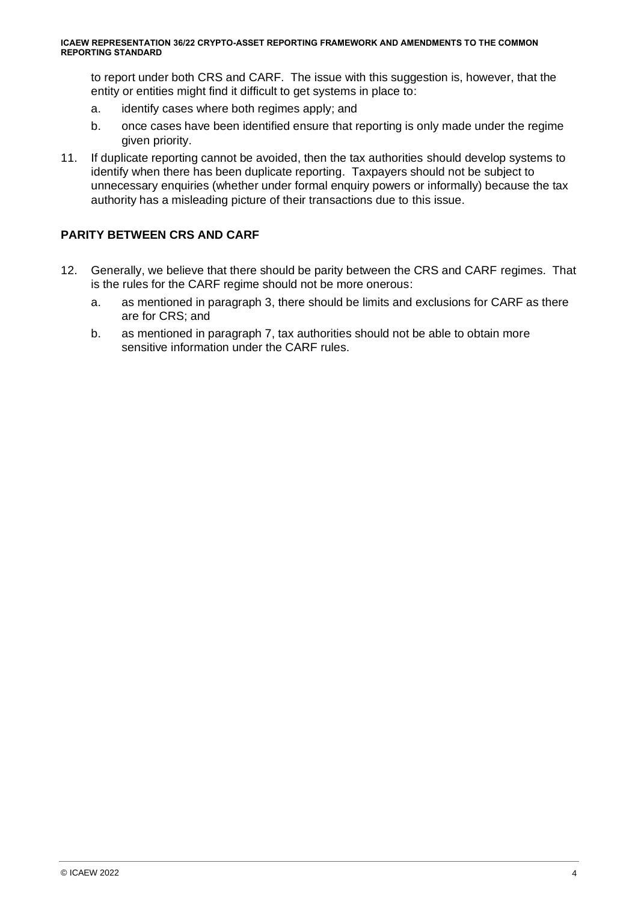to report under both CRS and CARF. The issue with this suggestion is, however, that the entity or entities might find it difficult to get systems in place to:

- a. identify cases where both regimes apply; and
- b. once cases have been identified ensure that reporting is only made under the regime given priority.
- 11. If duplicate reporting cannot be avoided, then the tax authorities should develop systems to identify when there has been duplicate reporting. Taxpayers should not be subject to unnecessary enquiries (whether under formal enquiry powers or informally) because the tax authority has a misleading picture of their transactions due to this issue.

# **PARITY BETWEEN CRS AND CARF**

- 12. Generally, we believe that there should be parity between the CRS and CARF regimes. That is the rules for the CARF regime should not be more onerous:
	- a. as mentioned in paragraph 3, there should be limits and exclusions for CARF as there are for CRS; and
	- b. as mentioned in paragraph 7, tax authorities should not be able to obtain more sensitive information under the CARF rules.